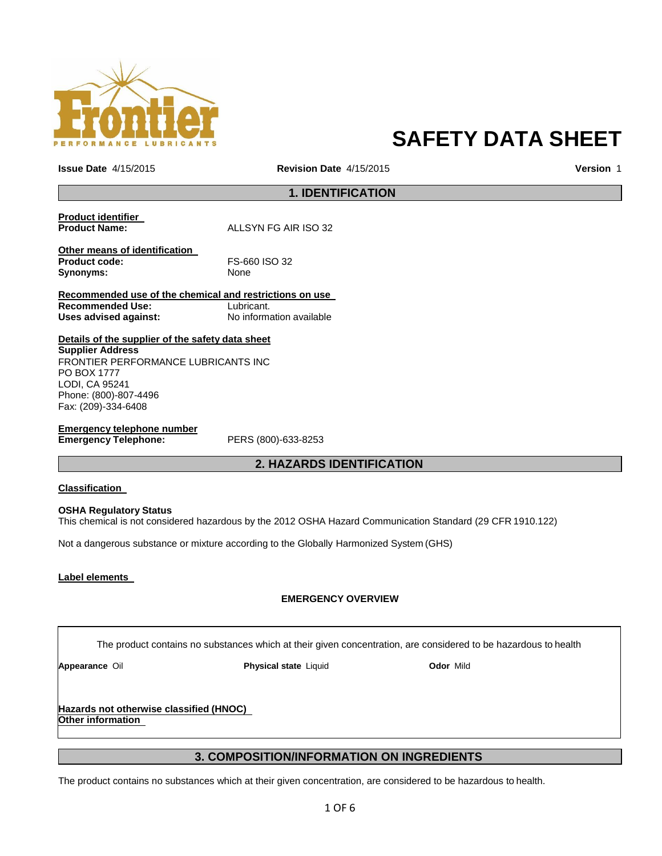

# **SAFETY DATA SHEET**

**Issue Date** 4/15/2015 **Revision Date** 4/15/2015 **Version** 1

**1. IDENTIFICATION**

| <b>Product identifier</b> |                      |
|---------------------------|----------------------|
| <b>Product Name:</b>      | ALLSYN FG AIR ISO 32 |

**Other means of identification Product code:** FS-660 ISO 32 Synonyms: None

**Recommended use of the chemical and restrictions on use Recommended Use:** Lubricant. Uses advised against: No information available

**Details of the supplier of the safety data sheet Supplier Address** FRONTIER PERFORMANCE LUBRICANTS INC PO BOX 1777 LODI, CA 95241 Phone: (800)-807-4496 Fax: (209)-334-6408

**Emergency telephone number**

**Emergency Telephone:** PERS (800)-633-8253

## **2. HAZARDS IDENTIFICATION**

### **Classification**

### **OSHA Regulatory Status**

This chemical is not considered hazardous by the 2012 OSHA Hazard Communication Standard (29 CFR 1910.122)

Not a dangerous substance or mixture according to the Globally Harmonized System (GHS)

### **Label elements**

### **EMERGENCY OVERVIEW**

The product contains no substances which at their given concentration, are considered to be hazardous to health

**Appearance** Oil **Physical state** Liquid **Odor** Mild

**Hazards not otherwise classified (HNOC) Other information**

## **3. COMPOSITION/INFORMATION ON INGREDIENTS**

The product contains no substances which at their given concentration, are considered to be hazardous to health.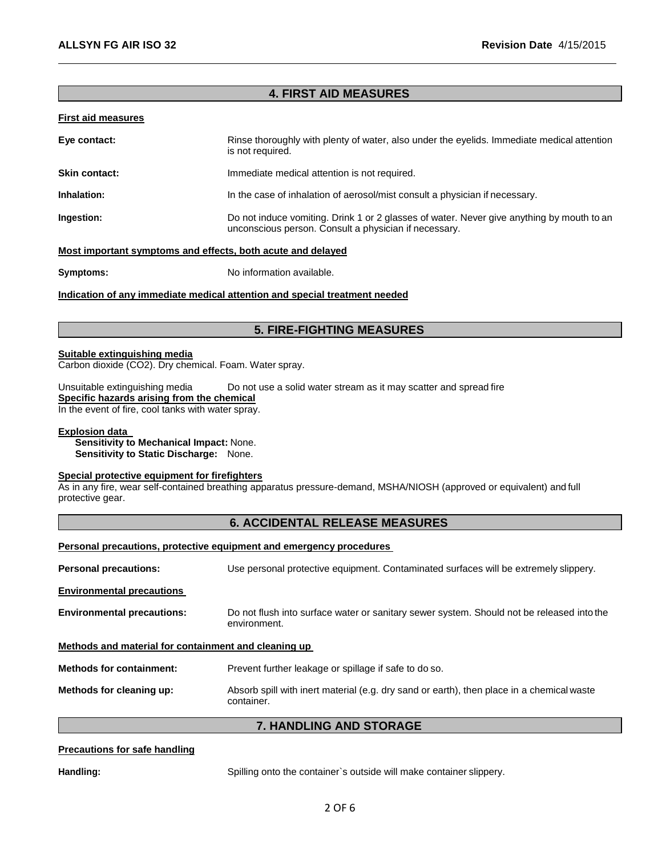## **4. FIRST AID MEASURES**

### **First aid measures**

| Eye contact:         | Rinse thoroughly with plenty of water, also under the eyelids. Immediate medical attention<br>is not required.                                     |
|----------------------|----------------------------------------------------------------------------------------------------------------------------------------------------|
| <b>Skin contact:</b> | Immediate medical attention is not required.                                                                                                       |
| Inhalation:          | In the case of inhalation of aerosol/mist consult a physician if necessary.                                                                        |
| Ingestion:           | Do not induce vomiting. Drink 1 or 2 glasses of water. Never give anything by mouth to an<br>unconscious person. Consult a physician if necessary. |

### **Most important symptoms and effects, both acute and delayed**

**Symptoms:** No information available.

### **Indication of any immediate medical attention and special treatment needed**

## **5. FIRE-FIGHTING MEASURES**

### **Suitable extinguishing media**

Carbon dioxide (CO2). Dry chemical. Foam. Water spray.

Unsuitable extinguishing media Do not use a solid water stream as it may scatter and spread fire

## **Specific hazards arising from the chemical**

In the event of fire, cool tanks with water spray.

### **Explosion data**

**Sensitivity to Mechanical Impact:** None. **Sensitivity to Static Discharge:** None.

### **Special protective equipment for firefighters**

As in any fire, wear self-contained breathing apparatus pressure-demand, MSHA/NIOSH (approved or equivalent) and full protective gear.

## **6. ACCIDENTAL RELEASE MEASURES**

### **Personal precautions, protective equipment and emergency procedures**

| <b>Personal precautions:</b>                         | Use personal protective equipment. Contaminated surfaces will be extremely slippery.                      |
|------------------------------------------------------|-----------------------------------------------------------------------------------------------------------|
| <b>Environmental precautions</b>                     |                                                                                                           |
| <b>Environmental precautions:</b>                    | Do not flush into surface water or sanitary sewer system. Should not be released into the<br>environment. |
| Methods and material for containment and cleaning up |                                                                                                           |
| <b>Methods for containment:</b>                      | Prevent further leakage or spillage if safe to do so.                                                     |
| Methods for cleaning up:                             | Absorb spill with inert material (e.g. dry sand or earth), then place in a chemical waste<br>container.   |

## **7. HANDLING AND STORAGE**

### **Precautions for safe handling**

**Handling:** Spilling onto the container`s outside will make container slippery.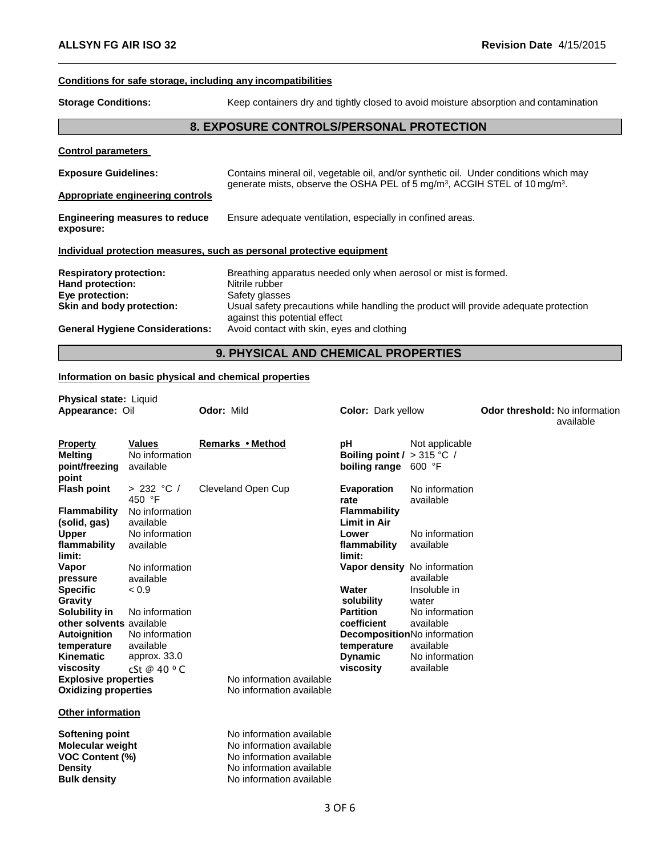## **Conditions for safe storage, including any incompatibilities**

**Storage Conditions:** Keep containers dry and tightly closed to avoid moisture absorption and contamination

## **8. EXPOSURE CONTROLS/PERSONAL PROTECTION**

### **Control parameters**

| <b>Exposure Guidelines:</b><br>Appropriate engineering controls                                    | Contains mineral oil, vegetable oil, and/or synthetic oil. Under conditions which may<br>generate mists, observe the OSHA PEL of 5 mg/m <sup>3</sup> , ACGIH STEL of 10 mg/m <sup>3</sup> .                                  |  |
|----------------------------------------------------------------------------------------------------|------------------------------------------------------------------------------------------------------------------------------------------------------------------------------------------------------------------------------|--|
| <b>Engineering measures to reduce</b><br>exposure:                                                 | Ensure adequate ventilation, especially in confined areas.                                                                                                                                                                   |  |
| Individual protection measures, such as personal protective equipment                              |                                                                                                                                                                                                                              |  |
| <b>Respiratory protection:</b><br>Hand protection:<br>Eye protection:<br>Skin and body protection: | Breathing apparatus needed only when aerosol or mist is formed.<br>Nitrile rubber<br>Safety glasses<br>Usual safety precautions while handling the product will provide adequate protection<br>against this potential effect |  |
| <b>General Hygiene Considerations:</b>                                                             | Avoid contact with skin, eyes and clothing                                                                                                                                                                                   |  |

## **9. PHYSICAL AND CHEMICAL PROPERTIES**

## **Information on basic physical and chemical properties**

| <b>Physical state: Liquid</b><br>Appearance: Oil                                                              |                                              | <b>Odor: Mild</b>                                                                                                                        | <b>Color: Dark yellow</b>               |                                           | <b>Odor threshold: No information</b> | available |
|---------------------------------------------------------------------------------------------------------------|----------------------------------------------|------------------------------------------------------------------------------------------------------------------------------------------|-----------------------------------------|-------------------------------------------|---------------------------------------|-----------|
| <b>Property</b><br><b>Melting</b><br>point/freezing<br>point                                                  | <b>Values</b><br>No information<br>available | Remarks • Method                                                                                                                         | рH<br>Boiling point /<br>boiling range  | Not applicable<br>$>315 °C$ /<br>600 °F   |                                       |           |
| <b>Flash point</b>                                                                                            | > 232 °C/<br>450 °F                          | Cleveland Open Cup                                                                                                                       | <b>Evaporation</b><br>rate              | No information<br>available               |                                       |           |
| <b>Flammability</b><br>(solid, gas)                                                                           | No information<br>available                  |                                                                                                                                          | Flammability<br><b>Limit in Air</b>     |                                           |                                       |           |
| <b>Upper</b><br>flammability<br>limit:                                                                        | No information<br>available                  |                                                                                                                                          | Lower<br>flammability<br>limit:         | No information<br>available               |                                       |           |
| Vapor<br>pressure                                                                                             | No information<br>available                  |                                                                                                                                          |                                         | Vapor density No information<br>available |                                       |           |
| <b>Specific</b><br>Gravity<br>Solubility in                                                                   | < 0.9<br>No information                      |                                                                                                                                          | Water<br>solubility<br><b>Partition</b> | Insoluble in<br>water<br>No information   |                                       |           |
| other solvents available<br><b>Autoignition</b>                                                               | No information                               |                                                                                                                                          | coefficient                             | available<br>DecompositionNo information  |                                       |           |
| temperature<br><b>Kinematic</b>                                                                               | available<br>approx. 33.0                    |                                                                                                                                          | temperature<br><b>Dynamic</b>           | available<br>No information               |                                       |           |
| viscosity<br><b>Explosive properties</b><br><b>Oxidizing properties</b>                                       | cSt @ 40 $\circ$ C                           | No information available<br>No information available                                                                                     | viscosity                               | available                                 |                                       |           |
| <b>Other information</b>                                                                                      |                                              |                                                                                                                                          |                                         |                                           |                                       |           |
| <b>Softening point</b><br><b>Molecular weight</b><br>VOC Content (%)<br><b>Density</b><br><b>Bulk density</b> |                                              | No information available<br>No information available<br>No information available<br>No information available<br>No information available |                                         |                                           |                                       |           |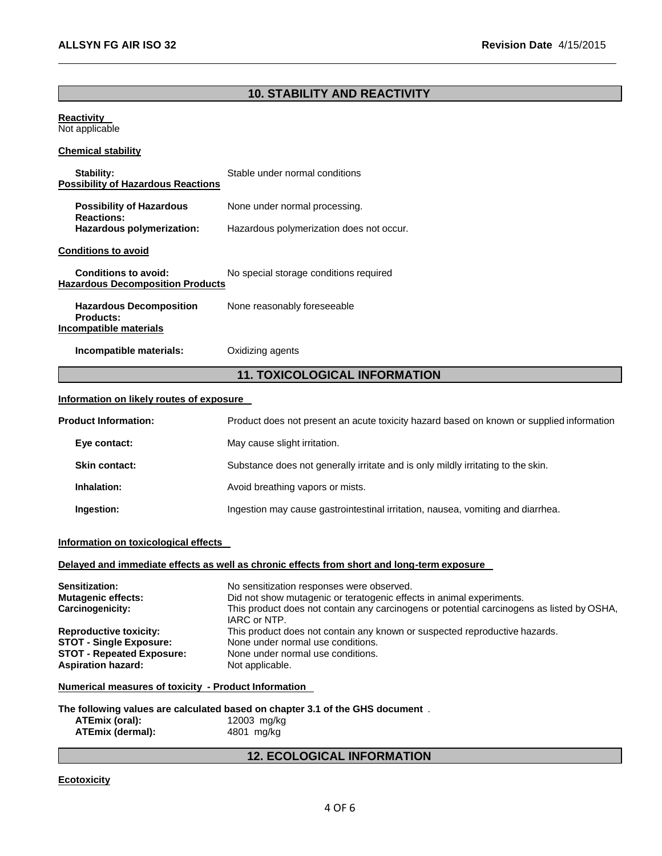## **10. STABILITY AND REACTIVITY**

### **Reactivity**  Not applicable

### **Chemical stability**

| Stability:<br><b>Possibility of Hazardous Reactions</b>                      | Stable under normal conditions           |  |
|------------------------------------------------------------------------------|------------------------------------------|--|
| <b>Possibility of Hazardous</b><br><b>Reactions:</b>                         | None under normal processing.            |  |
| Hazardous polymerization:                                                    | Hazardous polymerization does not occur. |  |
| <b>Conditions to avoid</b>                                                   |                                          |  |
| Conditions to avoid:<br><b>Hazardous Decomposition Products</b>              | No special storage conditions required   |  |
| <b>Hazardous Decomposition</b><br><b>Products:</b><br>Incompatible materials | None reasonably foreseeable              |  |
| Incompatible materials:                                                      | Oxidizing agents                         |  |
|                                                                              | <b>11. TOXICOLOGICAL INFORMATION</b>     |  |
| Information on likely routes of exposure                                     |                                          |  |

## **Product Information:** Product does not present an acute toxicity hazard based on known or supplied information **Eye contact:** May cause slight irritation. **Skin contact:** Substance does not generally irritate and is only mildly irritating to the skin. **Inhalation:** Avoid breathing vapors or mists. **Ingestion:** Ingestion may cause gastrointestinal irritation, nausea, vomiting and diarrhea.

### **Information on toxicological effects**

### **Delayed and immediate effects as well as chronic effects from short and long-term exposure**

| Sensitization:                   | No sensitization responses were observed.                                                                 |
|----------------------------------|-----------------------------------------------------------------------------------------------------------|
| <b>Mutagenic effects:</b>        | Did not show mutagenic or teratogenic effects in animal experiments.                                      |
| Carcinogenicity:                 | This product does not contain any carcinogens or potential carcinogens as listed by OSHA,<br>IARC or NTP. |
| <b>Reproductive toxicity:</b>    | This product does not contain any known or suspected reproductive hazards.                                |
| <b>STOT - Single Exposure:</b>   | None under normal use conditions.                                                                         |
| <b>STOT - Repeated Exposure:</b> | None under normal use conditions.                                                                         |
| <b>Aspiration hazard:</b>        | Not applicable.                                                                                           |

### **Numerical measures of toxicity - Product Information**

|                  | The following values are calculated based on chapter 3.1 of the GHS document. |
|------------------|-------------------------------------------------------------------------------|
| ATEmix (oral):   | 12003 mg/kg                                                                   |
| ATEmix (dermal): | 4801 mg/kg                                                                    |

## **12. ECOLOGICAL INFORMATION**

### **Ecotoxicity**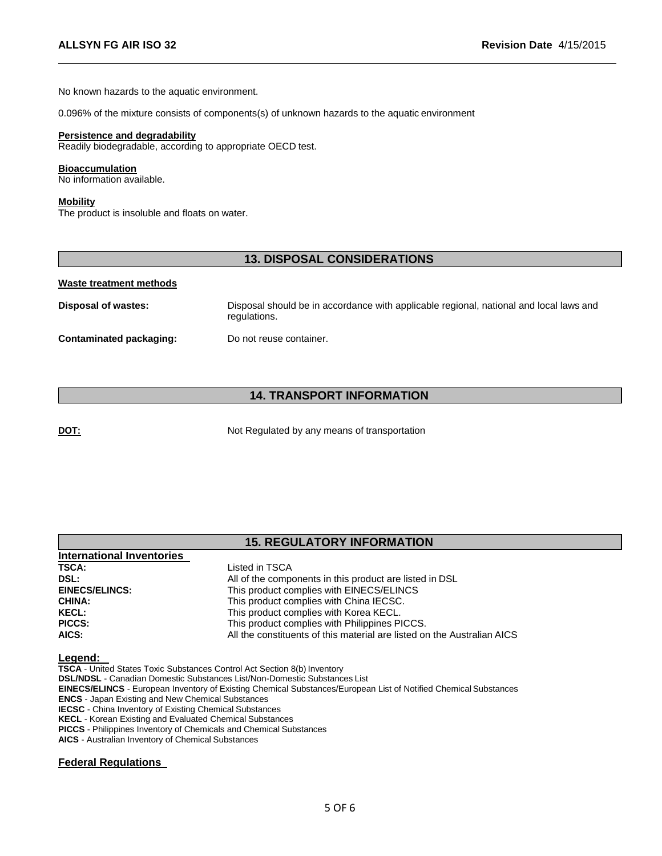No known hazards to the aquatic environment.

0.096% of the mixture consists of components(s) of unknown hazards to the aquatic environment

### **Persistence and degradability**

Readily biodegradable, according to appropriate OECD test.

### **Bioaccumulation**

No information available.

### **Mobility**

The product is insoluble and floats on water.

## **13. DISPOSAL CONSIDERATIONS**

### **Waste treatment methods**

**Disposal of wastes:** Disposal should be in accordance with applicable regional, national and local laws and regulations.

**Contaminated packaging:** Do not reuse container.

## **14. TRANSPORT INFORMATION**

**DOT:** Not Regulated by any means of transportation

## **15. REGULATORY INFORMATION**

| International Inventories |                                                                         |
|---------------------------|-------------------------------------------------------------------------|
| <b>TSCA:</b>              | Listed in TSCA                                                          |
| DSL:                      | All of the components in this product are listed in DSL                 |
| <b>EINECS/ELINCS:</b>     | This product complies with EINECS/ELINCS                                |
| <b>CHINA:</b>             | This product complies with China IECSC.                                 |
| <b>KECL:</b>              | This product complies with Korea KECL.                                  |
| <b>PICCS:</b>             | This product complies with Philippines PICCS.                           |
| AICS:                     | All the constituents of this material are listed on the Australian AICS |

### **Legend:**

**TSCA** - United States Toxic Substances Control Act Section 8(b) Inventory **DSL/NDSL** - Canadian Domestic Substances List/Non-Domestic Substances List **EINECS/ELINCS** - European Inventory of Existing Chemical Substances/European List of Notified Chemical Substances **ENCS** - Japan Existing and New Chemical Substances **IECSC** - China Inventory of Existing Chemical Substances **KECL** - Korean Existing and Evaluated Chemical Substances **PICCS** - Philippines Inventory of Chemicals and Chemical Substances

**AICS** - Australian Inventory of Chemical Substances

### **Federal Regulations**